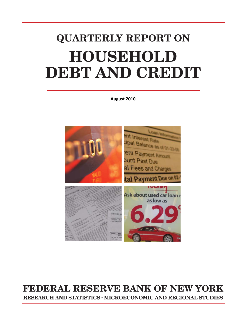### **QUARTERLY REPORT ON HOUSEHOLD DEBT AND CREDIT**

**August 2010**



#### **FEDERAL RESERVE BANK OF NEW YORK RESEARCH AND STATISTICS** ● **MICROECONOMIC AND REGIONAL STUDIES**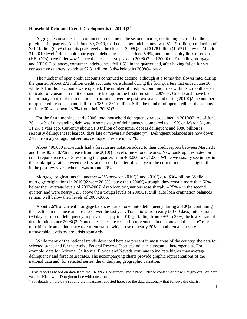#### **Household Debt and Credit Developments in 2010Q2**[1](#page-1-0)

Aggregate consumer debt continued to decline in the second quarter, continuing its trend of the previous six quarters. As of June 30, 2010, total consumer indebtedness was \$11.7 trillion, a reduction of \$812 billion (6.5%) from its peak level at the close of 2008Q3, and \$178 billion (1.5%) below its March 31, [2](#page-1-1)010 level.<sup>2</sup> Household mortgage indebtedness has declined 6.4%, and home equity lines of credit (HELOCs) have fallen 4.4% since their respective peaks in 2008Q3 and 2009Q1. Excluding mortgage and HELOC balances, consumer indebtedness fell 1.5% in the quarter and, after having fallen for six consecutive quarters, stands at \$2.31 trillion, 8.4% below its 2008Q4 peak.

The number of open credit accounts continued to decline, although at a somewhat slower rate, during the quarter. About 272 million credit accounts were closed during the four quarters that ended June 30, while 161 million accounts were opened. The number of credit account inquiries within six months – an indicator of consumer credit demand –ticked up for the first time since 2007Q3. Credit cards have been the primary source of the reductions in accounts over the past two years, and during 2010Q2 the number of open credit card accounts fell from 385 to 381 million. Still, the number of open credit card accounts on June 30 was down 23.2% from their 2008Q2 peak.

For the first time since early 2006, total household delinquency rates declined in 2010Q2. As of June 30, 11.4% of outstanding debt was in some stage of delinquency, compared to 11.9% on March 31, and 11.2% a year ago. Currently about \$1.3 trillion of consumer debt is delinquent and \$986 billion is seriously delinquent (at least 90 days late or "severely derogatory"). Delinquent balances are now down 2.9% from a year ago, but serious delinquencies are up 3.1%.

About 496,000 individuals had a foreclosure notation added to their credit reports between March 31 and June 30, an 8.7% increase from the 2010Q1 level of new foreclosures. New bankruptcies noted on credit reports rose over 34% during the quarter, from 463,000 to 621,000. While we usually see jumps in the bankruptcy rate between the first and second quarter of each year, the current increase is higher than in the past few years, when it was around 20%.

Mortgage originations fell another 4.1% between 2010Q1 and 2010Q2, to \$364 billion. While mortgage originations in 2010Q2 were 20.6% above their 2008Q4 trough, they remain more than 50% below their average levels of 2003-2007. Auto loan originations rose sharply  $-25%$  – in the second quarter, and were nearly 32% above their trough levels of 2009Q1. Still, auto loan origination balances remain well below their levels of 2005-2006.

About 2.6% of current mortgage balances transitioned into delinquency during 2010Q2, continuing the decline in this measure observed over the last year. Transitions from early (30-60 days) into serious (90 days or more) delinquency improved sharply in 2010Q2, falling from 39% to 33%, the lowest rate of deterioration since 2008Q2. Nonetheless, despite recent improvements in this rate and the "cure" rate – transitions from delinquency to current status, which rose to nearly 30% – both remain at very unfavorable levels by pre-crisis standards.

While many of the national trends described here are present in most areas of the country, the data for selected states and for the twelve Federal Reserve Districts indicate substantial heterogeneity. For example, data for Arizona, California, Florida and Nevada continue to indicate higher than average delinquency and foreclosure rates. The accompanying charts provide graphic representations of the national data and, for selected series, the underlying geographic variation.

<span id="page-1-0"></span><sup>&</sup>lt;sup>1</sup> This report is based on data from the FRBNY Consumer Credit Panel. Please contact Andrew Haughwout, Wilbert van der Klaauw or Donghoon Lee with questions.

<span id="page-1-1"></span> $\degree$  For details on the data set and the measures reported here, see the data dictionary that follows the charts.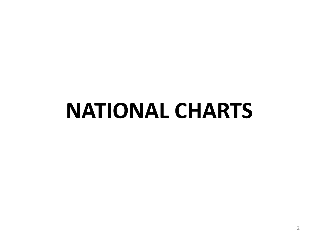## **NATIONAL CHARTS**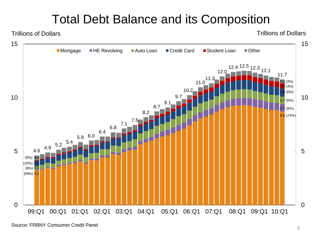#### Total Debt Balance and its Composition

Trillions of Dollars

Trillions of Dollars

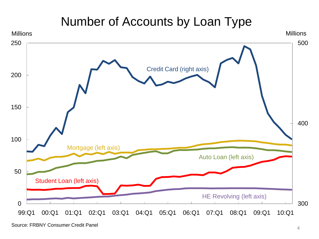#### Number of Accounts by Loan Type

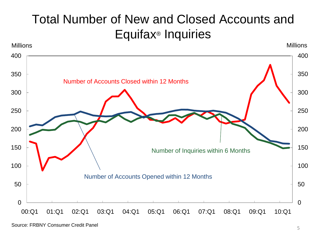#### Total Number of New and Closed Accounts and Equifax® Inquiries



Source: FRBNY Consumer Credit Panel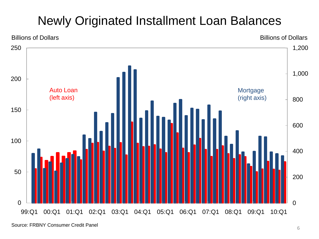### Newly Originated Installment Loan Balances



Source: FRBNY Consumer Credit Panel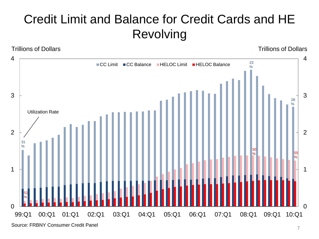### Credit Limit and Balance for Credit Cards and HE Revolving

Trillions of Dollars Trillions of Dollars



Source: FRBNY Consumer Credit Panel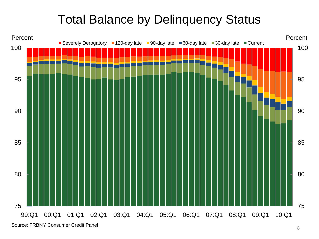#### Total Balance by Delinquency Status



Source: FRBNY Consumer Credit Panel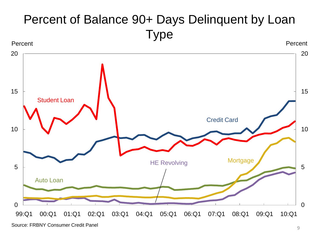### Percent of Balance 90+ Days Delinquent by Loan Type

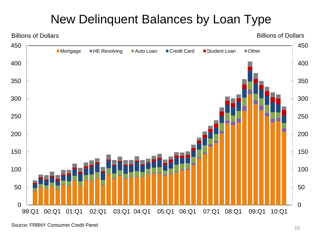#### New Delinquent Balances by Loan Type



Source: FRBNY Consumer Credit Panel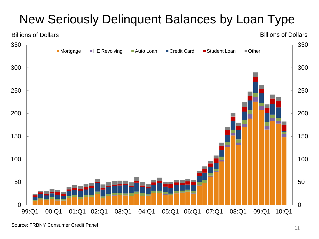### New Seriously Delinquent Balances by Loan Type

### $0 \begin{array}{c} 0 \\ -39.01 \end{array}$  ■Mortgage ■HE Revolving ■Auto Loan ■Credit Card ■Student Loan ■Other Billions of Dollars Billions of Dollars 99:Q1 00:Q1 01:Q1 02:Q1 03:Q1 04:Q1 05:Q1 06:Q1 07:Q1 08:Q1 09:Q1 10:Q1

Source: FRBNY Consumer Credit Panel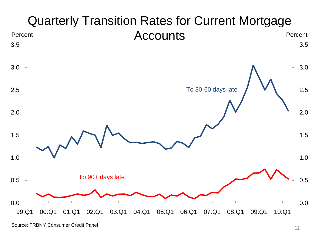

## Quarterly Transition Rates for Current Mortgage

Source: FRBNY Consumer Credit Panel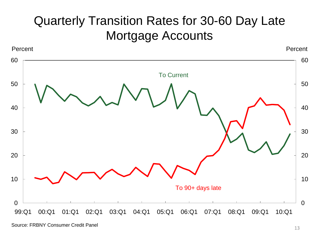#### Quarterly Transition Rates for 30-60 Day Late Mortgage Accounts



Source: FRBNY Consumer Credit Panel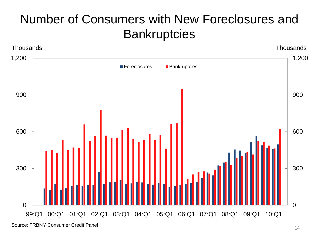#### Number of Consumers with New Foreclosures and **Bankruptcies**

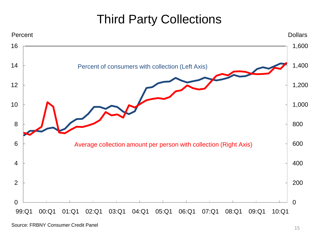#### Third Party Collections

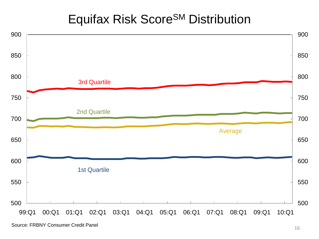#### **Equifax Risk Score<sup>SM</sup> Distribution**



Source: FRBNY Consumer Credit Panel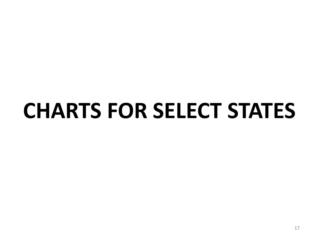# **CHARTS FOR SELECT STATES**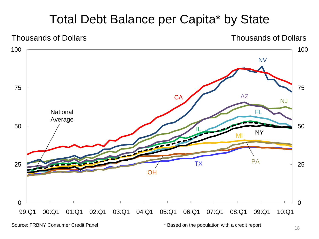#### Total Debt Balance per Capita\* by State



Source: FRBNY Consumer Credit Panel **\*** \* Based on the population with a credit report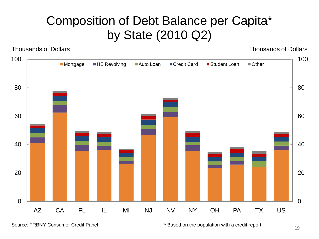#### Composition of Debt Balance per Capita\* by State (2010 Q2)

Thousands of Dollars Thousands of Dollars



Source: FRBNY Consumer Credit Panel **\*** \* Based on the population with a credit report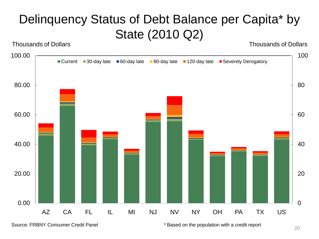### Delinquency Status of Debt Balance per Capita\* by State (2010 Q2)

Thousands of Dollars Thousands of Dollars



Source: FRBNY Consumer Credit Panel **\* Example 3** \* Based on the population with a credit report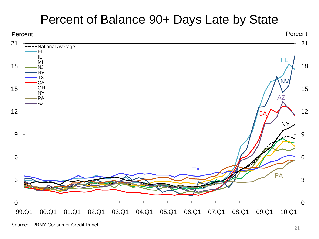#### Percent of Balance 90+ Days Late by State

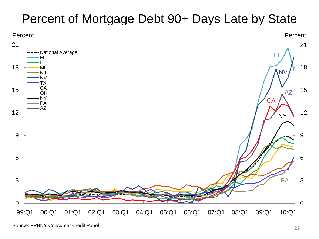#### Percent of Mortgage Debt 90+ Days Late by State

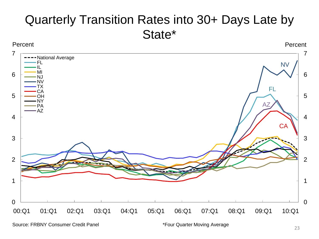#### Quarterly Transition Rates into 30+ Days Late by State\*



Source: FRBNY Consumer Credit Panel

\*Four Quarter Moving Average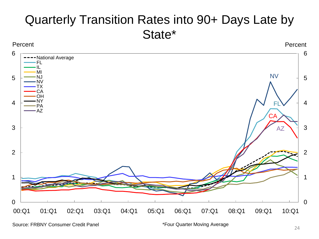#### Quarterly Transition Rates into 90+ Days Late by State\*

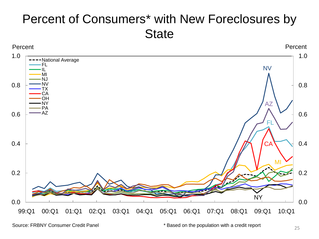#### Percent of Consumers\* with New Foreclosures by **State**



Source: FRBNY Consumer Credit Panel \*\*\* Based on the population with a credit report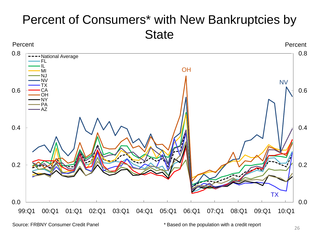#### Percent of Consumers\* with New Bankruptcies by **State**



Source: FRBNY Consumer Credit Panel \*\*\* Based on the population with a credit report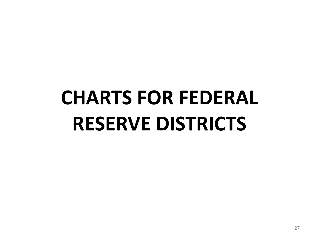# **CHARTS FOR FEDERAL RESERVE DISTRICTS**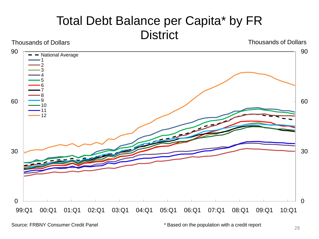#### Total Debt Balance per Capita\* by FR **District** Thousands of Dollars Thousands of Dollars Thousands of Dollars

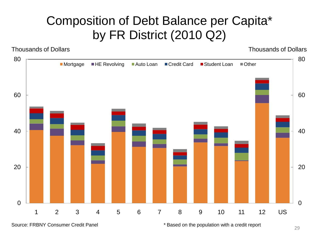#### Composition of Debt Balance per Capita\* by FR District (2010 Q2)

Thousands of Dollars Thousands of Dollars



Source: FRBNY Consumer Credit Panel **\*** Based on the population with a credit report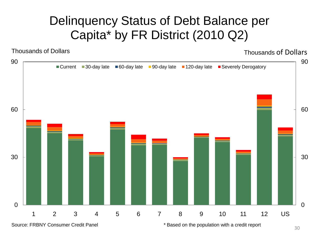#### Delinquency Status of Debt Balance per Capita\* by FR District (2010 Q2)

Thousands of Dollars Thousands of Dollars

![](_page_30_Figure_3.jpeg)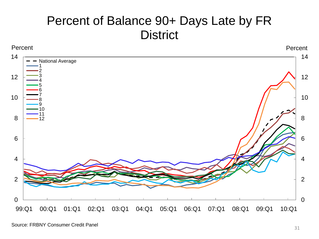#### Percent of Balance 90+ Days Late by FR **District**

![](_page_31_Figure_1.jpeg)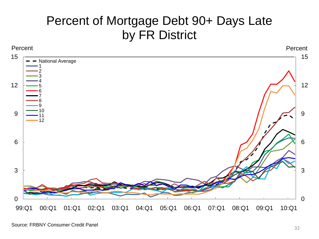#### Percent of Mortgage Debt 90+ Days Late by FR District

![](_page_32_Figure_1.jpeg)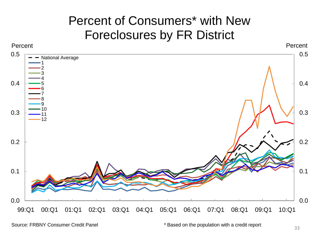#### Percent of Consumers\* with New Foreclosures by FR District

![](_page_33_Figure_1.jpeg)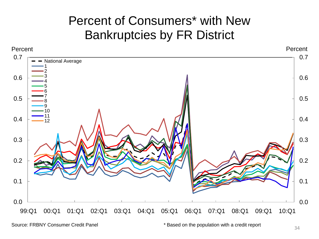#### Percent of Consumers\* with New Bankruptcies by FR District

![](_page_34_Figure_1.jpeg)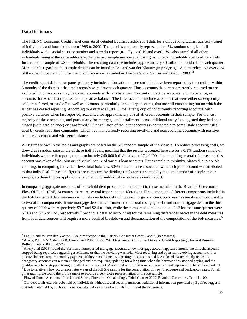#### **Data Dictionary**

 $\overline{\phantom{0}}$ 

The FRBNY Consumer Credit Panel consists of detailed Equifax credit-report data for a unique longitudinal quarterly panel of individuals and households from 1999 to 2009. The panel is a nationally representative 5% random sample of all individuals with a social security number and a credit report (usually aged 19 and over). We also sampled all other individuals living at the same address as the primary sample members, allowing us to track household-level credit and debt for a random sample of US households. The resulting database includes approximately 40 million individuals in each quarter. More details regarding the sample design can be found in Lee and van der Klaauw (in progress).<sup>[1](#page-35-0)</sup> A comprehensive overview of the specific content of consumer credit reports is provided in Avery, Calem, Canner and Bostic ([2](#page-35-1)003).<sup>2</sup>

The credit report data in our panel primarily includes information on accounts that have been reported by the creditor within 3 months of the date that the credit records were drawn each quarter. Thus, accounts that are not currently reported on are excluded. Such accounts may be closed accounts with zero balances, dormant or inactive accounts with no balance, or accounts that when last reported had a positive balance. The latter accounts include accounts that were either subsequently sold, transferred, or paid off as well as accounts, particularly derogatory accounts, that are still outstanding but on which the lender has ceased reporting. According to Avery et al (2003), the latter group of noncurrently reporting accounts, with positive balances when last reported, accounted for approximately 8% of all credit accounts in their sample. For the vast majority of these accounts, and particularly for mortgage and installment loans, additional analysis suggested they had been closed (with zero balance) or transferred.<sup>[3](#page-35-2)</sup> Our exclusion of the latter accounts is comparable to some 'stale account rules' used by credit reporting companies, which treat noncurrently reporting revolving and nonrevolving accounts with positive balances as closed and with zero balance.

All figures shown in the tables and graphs are based on the 5% random sample of individuals. To reduce processing costs, we drew a 2% random subsample of these individuals, meaning that the results presented here are for a 0.1% random sample of individuals with credit reports, or approximately 240,000 individuals as of Q4 2009. [4](#page-35-3) In computing several of these statistics, account was taken of the joint or individual nature of various loan accounts. For example to minimize biases due to double counting, in computing individual-level total balances, 50% of the balance associated with each joint account was attributed to that individual. Per-capita figures are computed by dividing totals for our sample by the total number of people in our sample, so these figures apply to the population of individuals who have a credit report.

In comparing aggregate measures of household debt presented in this report to those included in the Board of Governor's Flow Of Funds (FoF) Accounts, there are several important considerations. First, among the different components included in the FoF household debt measure (which also includes debt of nonprofit organizations), our measures are directly comparable to two of its components: home mortgage debt and consumer credit. Total mortgage debt and non-mortgage debt in the third quarter of 2009 were respectively \$9.7 and \$2.4 trillion, while the comparable amounts in the FoF for the same quarter were \$10.3 and \$2.[5](#page-35-4) trillion, respectively.<sup>5</sup> Second, a detailed accounting for the remaining differences between the debt measures from both data sources will require a more detailed breakdown and documentation of the computation of the FoF measures.<sup>[6](#page-35-5)</sup>

<span id="page-35-0"></span> $<sup>1</sup>$  Lee, D. and W. van der Klaauw, "An introduction to the FRBNY Consumer Credit Panel", [in progress].</sup>

<span id="page-35-1"></span><sup>&</sup>lt;sup>2</sup> Avery, R.B., P.S. Calem, G.B. Canner and R.W. Bostic, "An Overview of Consumer Data and Credit Reporting", Federal Reserve Bulletin, Feb. 2003, pp 47-73.<br> $3$  Avery et al (2003) found that for many nonreported mortgage accounts a new mortgage account appeared around the time the account

<span id="page-35-2"></span>stopped being reported, suggesting a refinance or that the servicing was sold. Most revolving and open non-revolving accounts with a positive balance require monthly payments if they remain open, suggesting the accounts had been closed. Noncurrently reporting derogatory accounts can remain unchanged and not requiring updating for a long time when the borrower has stopped paying and the creditor may have stopped trying to collect on the account. Avery et al report that some of these accounts appeared to have been paid off.<br><sup>4</sup> Due to relatively low occurrence rates we used the full 5% sample for the compu

<span id="page-35-4"></span><span id="page-35-3"></span> $5$  Flow of Funds Accounts of the United States, Flows and Outstandings, Third Quarter 2009, Board of Governors, Table L.100.

<span id="page-35-5"></span><sup>6</sup> Our debt totals exclude debt held by individuals without social security numbers. Additional information provided by Equifax suggests that total debt held by such individuals is relatively small and accounts for little of the difference.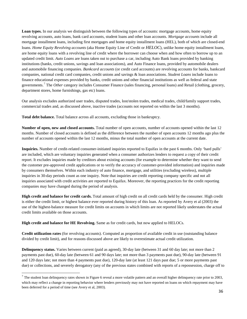Loan types. In our analysis we distinguish between the following types of accounts: mortgage accounts, home equity revolving accounts, auto loans, bank card accounts, student loans and other loan accounts. *Mortgage accounts* include all mortgage installment loans, including first mortgages and home equity installment loans (HEL), both of which are closed-end loans. *Home Equity Revolving accounts* (aka Home Equity Line of Credit or *HELOC*), unlike home equity installment loans, are home equity loans with a revolving line of credit where the borrower can choose when and how often to borrow up to an updated credit limit. *Auto Loans* are loans taken out to purchase a car, including Auto Bank loans provided by banking institutions (banks, credit unions, savings and loan associations), and Auto Finance loans, provided by automobile dealers and automobile financing companies. *Bankcard accounts* (or credit card accounts) are revolving accounts for banks, bankcard companies, national credit card companies, credit unions and savings & loan associations. *Student Loans* include loans to finance educational expenses provided by banks, credit unions and other financial institutions as well as federal and state governments.[7](#page-36-0) The *Other* category includes Consumer Finance (sales financing, personal loans) and Retail (clothing, grocery, department stores, home furnishings, gas etc) loans.

Our analysis excludes authorized user trades, disputed trades, lost/stolen trades, medical trades, child/family support trades, commercial trades and, as discussed above, inactive trades (accounts not reported on within the last 3 months).

**Total debt balance.** Total balance across all accounts, excluding those in bankruptcy.

**Number of open, new and closed accounts.** Total number of open accounts, number of accounts opened within the last 12 months. Number of closed accounts is defined as the difference between the number of open accounts 12 months ago plus the number of accounts opened within the last 12 months, minus the total number of open accounts at the current date.

**Inquiries.** Number of credit-related consumer-initiated inquiries reported to Equifax in the past 6 months. Only 'hard pulls' are included, which are voluntary inquiries generated when a consumer authorizes lenders to request a copy of their credit report. It excludes inquiries made by creditors about existing accounts (for example to determine whether they want to send the customer pre-approved credit applications or to verify the accuracy of customer-provided information) and inquiries made by consumers themselves. Within each industry of auto finance, mortgage, and utilities (excluding wireless), multiple inquiries in 30-day periods count as one inquiry. Note that inquiries are credit reporting company specific and not all inquiries associated with credit activities are reported to Equifax. Moreover, the reporting practices for the credit reporting companies may have changed during the period of analysis.

**High credit and balance for credit cards.** Total amount of high credit on all credit cards held by the consumer. High credit is either the credit limit, or highest balance ever reported during history of this loan. As reported by Avery et al (2003) the use of the highest-balance measure for credit limits on accounts in which limits are not reported likely understates the actual credit limits available on those accounts.

**High credit and balance for HE Revolving.** Same as for credit cards, but now applied to HELOCs.

ı

**Credit utilization rates** (for revolving accounts). Computed as proportion of available credit in use (outstanding balance divided by credit limit), and for reasons discussed above are likely to overestimate actual credit utilization.

**Delinquency status.** Varies between current (paid as agreed), 30-day late (between 31 and 60 day late; not more than 2 payments past due), 60-day late (between 61 and 90 days late; not more than 3 payments past due), 90-day late (between 91 and 120 days late; not more than 4 payments past due), 120-day late (at least 121 days past due; 5 or more payments past due) or collections, and severely derogatory (any of the previous states combined with reports of a repossession, charge off to

<span id="page-36-0"></span> $<sup>7</sup>$  The student loan delinquency rates shown in Figure 6 reveal a more volatile pattern and an overall higher delinquency rate prior to 2003,</sup> which may reflect a change in reporting behavior where lenders previously may not have reported on loans on which repayment may have been deferred for a period of time (see Avery et al, 2003).